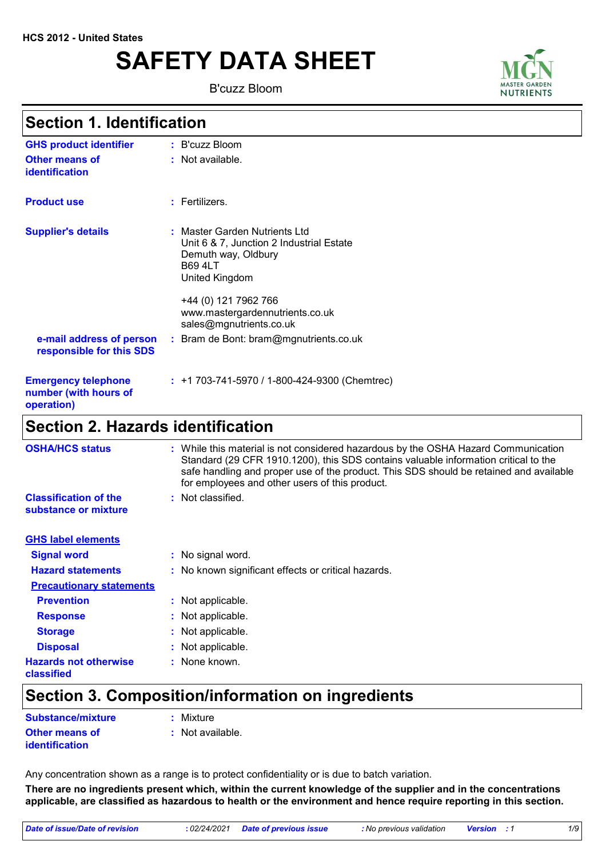# **SAFETY DATA SHEET**

B'cuzz Bloom



## **Section 1. Identification**

| <b>Section 2. Hazards identification</b>                          |                                                                                                                                      |
|-------------------------------------------------------------------|--------------------------------------------------------------------------------------------------------------------------------------|
| <b>Emergency telephone</b><br>number (with hours of<br>operation) | $: +1703-741-5970/1-800-424-9300$ (Chemtrec)                                                                                         |
| e-mail address of person<br>responsible for this SDS              | +44 (0) 121 7962 766<br>www.mastergardennutrients.co.uk<br>sales@mgnutrients.co.uk<br>: Bram de Bont: bram@mgnutrients.co.uk         |
| <b>Supplier's details</b>                                         | : Master Garden Nutrients Ltd<br>Unit 6 & 7, Junction 2 Industrial Estate<br>Demuth way, Oldbury<br><b>B69 4LT</b><br>United Kingdom |
| <b>Product use</b>                                                | : Fertilizers.                                                                                                                       |
| <b>Other means of</b><br>identification                           | : Not available.                                                                                                                     |
| <b>GHS product identifier</b>                                     | : B'cuzz Bloom                                                                                                                       |

| <b>OSHA/HCS status</b>                               | While this material is not considered hazardous by the OSHA Hazard Communication<br>Standard (29 CFR 1910.1200), this SDS contains valuable information critical to the<br>safe handling and proper use of the product. This SDS should be retained and available<br>for employees and other users of this product. |
|------------------------------------------------------|---------------------------------------------------------------------------------------------------------------------------------------------------------------------------------------------------------------------------------------------------------------------------------------------------------------------|
| <b>Classification of the</b><br>substance or mixture | $:$ Not classified.                                                                                                                                                                                                                                                                                                 |
| <b>GHS label elements</b>                            |                                                                                                                                                                                                                                                                                                                     |
| <b>Signal word</b>                                   | : No signal word.                                                                                                                                                                                                                                                                                                   |
| <b>Hazard statements</b>                             | : No known significant effects or critical hazards.                                                                                                                                                                                                                                                                 |
| <b>Precautionary statements</b>                      |                                                                                                                                                                                                                                                                                                                     |
| <b>Prevention</b>                                    | : Not applicable.                                                                                                                                                                                                                                                                                                   |
| <b>Response</b>                                      | : Not applicable.                                                                                                                                                                                                                                                                                                   |
| <b>Storage</b>                                       | : Not applicable.                                                                                                                                                                                                                                                                                                   |
| <b>Disposal</b>                                      | : Not applicable.                                                                                                                                                                                                                                                                                                   |
| <b>Hazards not otherwise</b><br>classified           | : None known.                                                                                                                                                                                                                                                                                                       |

## **Section 3. Composition/information on ingredients**

| Substance/mixture                              | : Mixture        |
|------------------------------------------------|------------------|
| <b>Other means of</b><br><b>identification</b> | : Not available. |

Any concentration shown as a range is to protect confidentiality or is due to batch variation.

**There are no ingredients present which, within the current knowledge of the supplier and in the concentrations applicable, are classified as hazardous to health or the environment and hence require reporting in this section.**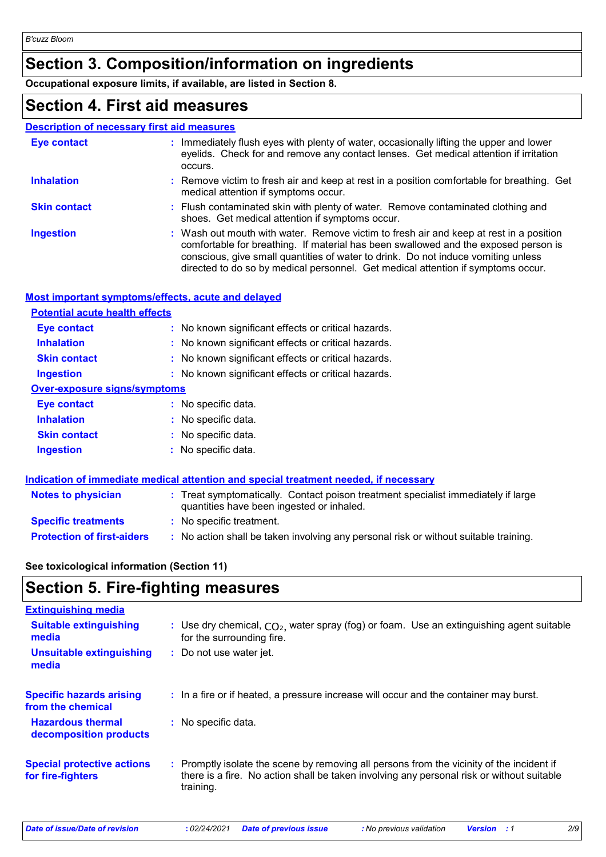## **Section 3. Composition/information on ingredients**

**Occupational exposure limits, if available, are listed in Section 8.**

## **Section 4. First aid measures**

### **Description of necessary first aid measures**

| Eye contact         | : Immediately flush eyes with plenty of water, occasionally lifting the upper and lower<br>eyelids. Check for and remove any contact lenses. Get medical attention if irritation<br>occurs.                                                                                                                                                            |
|---------------------|--------------------------------------------------------------------------------------------------------------------------------------------------------------------------------------------------------------------------------------------------------------------------------------------------------------------------------------------------------|
| <b>Inhalation</b>   | : Remove victim to fresh air and keep at rest in a position comfortable for breathing. Get<br>medical attention if symptoms occur.                                                                                                                                                                                                                     |
| <b>Skin contact</b> | : Flush contaminated skin with plenty of water. Remove contaminated clothing and<br>shoes. Get medical attention if symptoms occur.                                                                                                                                                                                                                    |
| <b>Ingestion</b>    | : Wash out mouth with water. Remove victim to fresh air and keep at rest in a position<br>comfortable for breathing. If material has been swallowed and the exposed person is<br>conscious, give small quantities of water to drink. Do not induce vomiting unless<br>directed to do so by medical personnel. Get medical attention if symptoms occur. |

### **Most important symptoms/effects, acute and delayed**

| <b>Potential acute health effects</b> |                                                     |
|---------------------------------------|-----------------------------------------------------|
| Eye contact                           | : No known significant effects or critical hazards. |
| <b>Inhalation</b>                     | : No known significant effects or critical hazards. |
| <b>Skin contact</b>                   | : No known significant effects or critical hazards. |
| <b>Ingestion</b>                      | : No known significant effects or critical hazards. |
| <b>Over-exposure signs/symptoms</b>   |                                                     |
| <b>Eye contact</b>                    | : No specific data.                                 |
| <b>Inhalation</b>                     | : No specific data.                                 |
| <b>Skin contact</b>                   | : No specific data.                                 |
| <b>Ingestion</b>                      | : No specific data.                                 |
|                                       |                                                     |

|                                   | Indication of immediate medical attention and special treatment needed, if necessary                                           |  |
|-----------------------------------|--------------------------------------------------------------------------------------------------------------------------------|--|
| <b>Notes to physician</b>         | : Treat symptomatically. Contact poison treatment specialist immediately if large<br>quantities have been ingested or inhaled. |  |
| <b>Specific treatments</b>        | : No specific treatment.                                                                                                       |  |
| <b>Protection of first-aiders</b> | : No action shall be taken involving any personal risk or without suitable training.                                           |  |

### **See toxicological information (Section 11)**

## **Section 5. Fire-fighting measures**

| <b>Extinguishing media</b>                             |                                                                                                                                                                                                     |
|--------------------------------------------------------|-----------------------------------------------------------------------------------------------------------------------------------------------------------------------------------------------------|
| <b>Suitable extinguishing</b><br>media                 | : Use dry chemical, $CO2$ , water spray (fog) or foam. Use an extinguishing agent suitable<br>for the surrounding fire.                                                                             |
| <b>Unsuitable extinguishing</b><br>media               | : Do not use water jet.                                                                                                                                                                             |
| <b>Specific hazards arising</b><br>from the chemical   | : In a fire or if heated, a pressure increase will occur and the container may burst.                                                                                                               |
| <b>Hazardous thermal</b><br>decomposition products     | : No specific data.                                                                                                                                                                                 |
| <b>Special protective actions</b><br>for fire-fighters | : Promptly isolate the scene by removing all persons from the vicinity of the incident if<br>there is a fire. No action shall be taken involving any personal risk or without suitable<br>training. |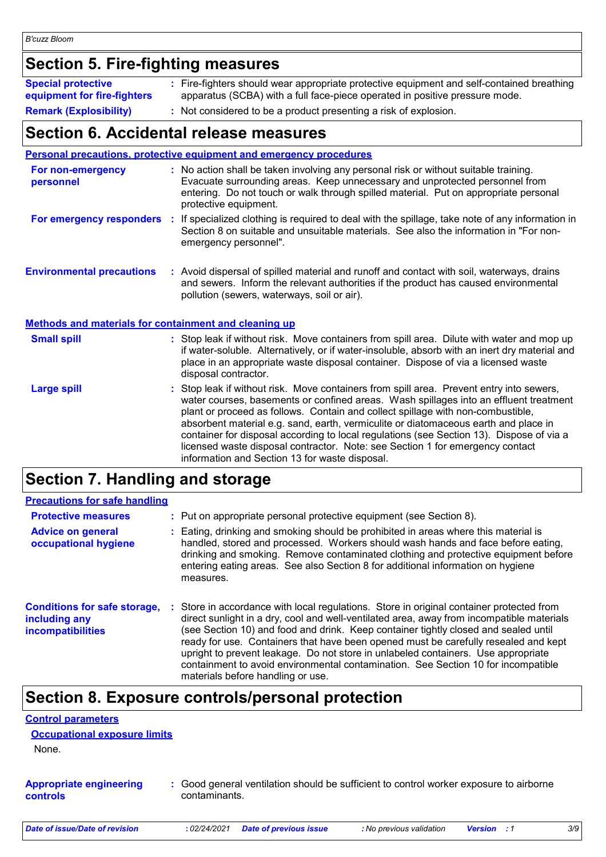## **Section 5. Fire-fighting measures**

| <b>Special protective</b><br>equipment for fire-fighters | : Fire-fighters should wear appropriate protective equipment and self-contained breathing<br>apparatus (SCBA) with a full face-piece operated in positive pressure mode. |
|----------------------------------------------------------|--------------------------------------------------------------------------------------------------------------------------------------------------------------------------|
| <b>Remark (Explosibility)</b>                            | : Not considered to be a product presenting a risk of explosion.                                                                                                         |

### **Section 6. Accidental release measures**

|                                                              | Personal precautions, protective equipment and emergency procedures                                                                                                                                                                                                                                                                                                                                                                                                                                                                                                                        |
|--------------------------------------------------------------|--------------------------------------------------------------------------------------------------------------------------------------------------------------------------------------------------------------------------------------------------------------------------------------------------------------------------------------------------------------------------------------------------------------------------------------------------------------------------------------------------------------------------------------------------------------------------------------------|
| For non-emergency<br>personnel                               | : No action shall be taken involving any personal risk or without suitable training.<br>Evacuate surrounding areas. Keep unnecessary and unprotected personnel from<br>entering. Do not touch or walk through spilled material. Put on appropriate personal<br>protective equipment.                                                                                                                                                                                                                                                                                                       |
| For emergency responders                                     | If specialized clothing is required to deal with the spillage, take note of any information in<br>÷.<br>Section 8 on suitable and unsuitable materials. See also the information in "For non-<br>emergency personnel".                                                                                                                                                                                                                                                                                                                                                                     |
| <b>Environmental precautions</b>                             | : Avoid dispersal of spilled material and runoff and contact with soil, waterways, drains<br>and sewers. Inform the relevant authorities if the product has caused environmental<br>pollution (sewers, waterways, soil or air).                                                                                                                                                                                                                                                                                                                                                            |
| <b>Methods and materials for containment and cleaning up</b> |                                                                                                                                                                                                                                                                                                                                                                                                                                                                                                                                                                                            |
| <b>Small spill</b>                                           | : Stop leak if without risk. Move containers from spill area. Dilute with water and mop up<br>if water-soluble. Alternatively, or if water-insoluble, absorb with an inert dry material and<br>place in an appropriate waste disposal container. Dispose of via a licensed waste<br>disposal contractor.                                                                                                                                                                                                                                                                                   |
| <b>Large spill</b>                                           | : Stop leak if without risk. Move containers from spill area. Prevent entry into sewers,<br>water courses, basements or confined areas. Wash spillages into an effluent treatment<br>plant or proceed as follows. Contain and collect spillage with non-combustible,<br>absorbent material e.g. sand, earth, vermiculite or diatomaceous earth and place in<br>container for disposal according to local regulations (see Section 13). Dispose of via a<br>licensed waste disposal contractor. Note: see Section 1 for emergency contact<br>information and Section 13 for waste disposal. |

# **Section 7. Handling and storage**

| <b>Precautions for safe handling</b>                                             |                                                                                                                                                                                                                                                                                                                                                                                                                                                                                                                                                                                  |
|----------------------------------------------------------------------------------|----------------------------------------------------------------------------------------------------------------------------------------------------------------------------------------------------------------------------------------------------------------------------------------------------------------------------------------------------------------------------------------------------------------------------------------------------------------------------------------------------------------------------------------------------------------------------------|
| <b>Protective measures</b>                                                       | : Put on appropriate personal protective equipment (see Section 8).                                                                                                                                                                                                                                                                                                                                                                                                                                                                                                              |
| <b>Advice on general</b><br>occupational hygiene                                 | Eating, drinking and smoking should be prohibited in areas where this material is<br>handled, stored and processed. Workers should wash hands and face before eating,<br>drinking and smoking. Remove contaminated clothing and protective equipment before<br>entering eating areas. See also Section 8 for additional information on hygiene<br>measures.                                                                                                                                                                                                                      |
| <b>Conditions for safe storage,</b><br>including any<br><b>incompatibilities</b> | Store in accordance with local regulations. Store in original container protected from<br>direct sunlight in a dry, cool and well-ventilated area, away from incompatible materials<br>(see Section 10) and food and drink. Keep container tightly closed and sealed until<br>ready for use. Containers that have been opened must be carefully resealed and kept<br>upright to prevent leakage. Do not store in unlabeled containers. Use appropriate<br>containment to avoid environmental contamination. See Section 10 for incompatible<br>materials before handling or use. |

## **Section 8. Exposure controls/personal protection**

| <b>Control parameters</b>                         |                                                                                                         |
|---------------------------------------------------|---------------------------------------------------------------------------------------------------------|
| <b>Occupational exposure limits</b>               |                                                                                                         |
| None.                                             |                                                                                                         |
| <b>Appropriate engineering</b><br><b>controls</b> | : Good general ventilation should be sufficient to control worker exposure to airborne<br>contaminants. |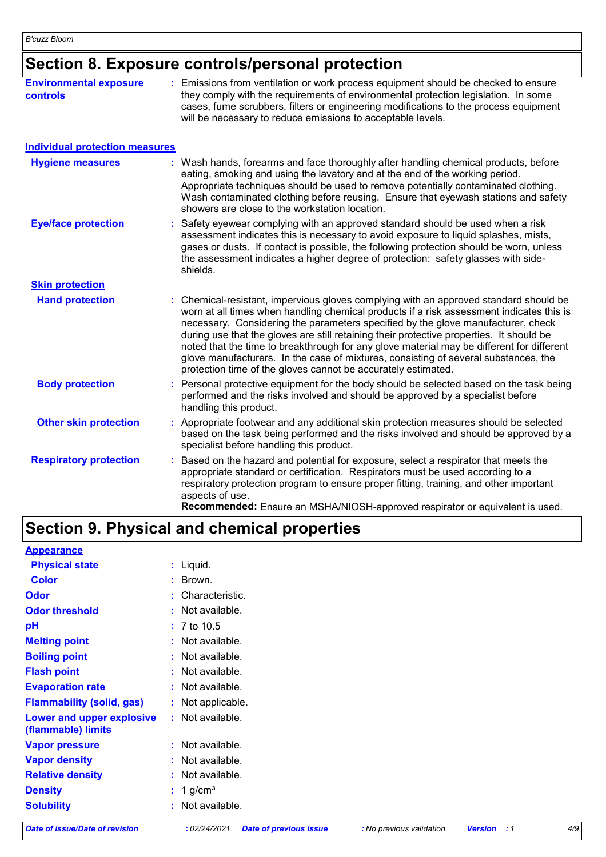# **Section 8. Exposure controls/personal protection**

| <b>Environmental exposure</b><br><b>controls</b> | : Emissions from ventilation or work process equipment should be checked to ensure<br>they comply with the requirements of environmental protection legislation. In some<br>cases, fume scrubbers, filters or engineering modifications to the process equipment<br>will be necessary to reduce emissions to acceptable levels.                                                                                                                                                                                                                                                                                        |
|--------------------------------------------------|------------------------------------------------------------------------------------------------------------------------------------------------------------------------------------------------------------------------------------------------------------------------------------------------------------------------------------------------------------------------------------------------------------------------------------------------------------------------------------------------------------------------------------------------------------------------------------------------------------------------|
| <b>Individual protection measures</b>            |                                                                                                                                                                                                                                                                                                                                                                                                                                                                                                                                                                                                                        |
| <b>Hygiene measures</b>                          | : Wash hands, forearms and face thoroughly after handling chemical products, before<br>eating, smoking and using the lavatory and at the end of the working period.<br>Appropriate techniques should be used to remove potentially contaminated clothing.<br>Wash contaminated clothing before reusing. Ensure that eyewash stations and safety<br>showers are close to the workstation location.                                                                                                                                                                                                                      |
| <b>Eye/face protection</b>                       | Safety eyewear complying with an approved standard should be used when a risk<br>assessment indicates this is necessary to avoid exposure to liquid splashes, mists,<br>gases or dusts. If contact is possible, the following protection should be worn, unless<br>the assessment indicates a higher degree of protection: safety glasses with side-<br>shields.                                                                                                                                                                                                                                                       |
| <b>Skin protection</b>                           |                                                                                                                                                                                                                                                                                                                                                                                                                                                                                                                                                                                                                        |
| <b>Hand protection</b>                           | : Chemical-resistant, impervious gloves complying with an approved standard should be<br>worn at all times when handling chemical products if a risk assessment indicates this is<br>necessary. Considering the parameters specified by the glove manufacturer, check<br>during use that the gloves are still retaining their protective properties. It should be<br>noted that the time to breakthrough for any glove material may be different for different<br>glove manufacturers. In the case of mixtures, consisting of several substances, the<br>protection time of the gloves cannot be accurately estimated. |
| <b>Body protection</b>                           | Personal protective equipment for the body should be selected based on the task being<br>performed and the risks involved and should be approved by a specialist before<br>handling this product.                                                                                                                                                                                                                                                                                                                                                                                                                      |
| <b>Other skin protection</b>                     | : Appropriate footwear and any additional skin protection measures should be selected<br>based on the task being performed and the risks involved and should be approved by a<br>specialist before handling this product.                                                                                                                                                                                                                                                                                                                                                                                              |
| <b>Respiratory protection</b>                    | Based on the hazard and potential for exposure, select a respirator that meets the<br>appropriate standard or certification. Respirators must be used according to a<br>respiratory protection program to ensure proper fitting, training, and other important<br>aspects of use.<br>Recommended: Ensure an MSHA/NIOSH-approved respirator or equivalent is used.                                                                                                                                                                                                                                                      |

## **Section 9. Physical and chemical properties**

| <b>Appearance</b>                               |                         |  |
|-------------------------------------------------|-------------------------|--|
| <b>Physical state</b>                           | : Liquid.               |  |
| <b>Color</b>                                    | : Brown.                |  |
| <b>Odor</b>                                     | : Characteristic.       |  |
| <b>Odor threshold</b>                           | : Not available.        |  |
| pH                                              | $: 7 \text{ to } 10.5$  |  |
| <b>Melting point</b>                            | : Not available.        |  |
| <b>Boiling point</b>                            | : Not available.        |  |
| <b>Flash point</b>                              | : Not available.        |  |
| <b>Evaporation rate</b>                         | : Not available.        |  |
| <b>Flammability (solid, gas)</b>                | : Not applicable.       |  |
| Lower and upper explosive<br>(flammable) limits | : Not available.        |  |
| <b>Vapor pressure</b>                           | : Not available.        |  |
| <b>Vapor density</b>                            | : Not available.        |  |
| <b>Relative density</b>                         | : Not available.        |  |
| <b>Density</b>                                  | $: 1$ g/cm <sup>3</sup> |  |
| <b>Solubility</b>                               | : Not available.        |  |
|                                                 |                         |  |

*Date of issue/Date of revision* **:** *02/24/2021 Date of previous issue : No previous validation Version : 1 4/9*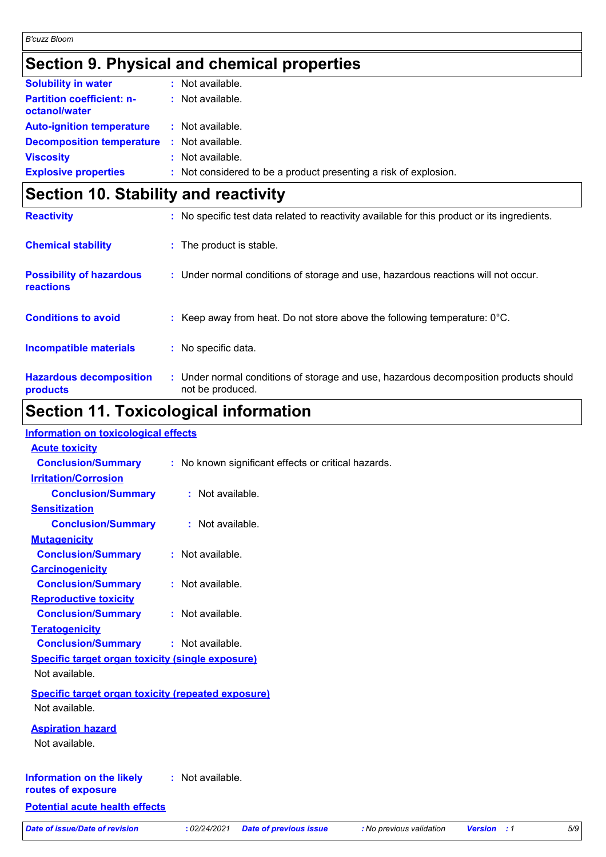# **Section 9. Physical and chemical properties**

| <b>Solubility in water</b>                        | : Not available.                                                 |
|---------------------------------------------------|------------------------------------------------------------------|
| <b>Partition coefficient: n-</b><br>octanol/water | : Not available.                                                 |
| <b>Auto-ignition temperature</b>                  | : Not available.                                                 |
| <b>Decomposition temperature :</b> Not available. |                                                                  |
| <b>Viscosity</b>                                  | : Not available.                                                 |
| <b>Explosive properties</b>                       | : Not considered to be a product presenting a risk of explosion. |

# **Section 10. Stability and reactivity**

| <b>Reactivity</b>                            | : No specific test data related to reactivity available for this product or its ingredients.              |
|----------------------------------------------|-----------------------------------------------------------------------------------------------------------|
| <b>Chemical stability</b>                    | : The product is stable.                                                                                  |
| <b>Possibility of hazardous</b><br>reactions | : Under normal conditions of storage and use, hazardous reactions will not occur.                         |
| <b>Conditions to avoid</b>                   | : Keep away from heat. Do not store above the following temperature: $0^{\circ}$ C.                       |
| <b>Incompatible materials</b>                | : No specific data.                                                                                       |
| <b>Hazardous decomposition</b><br>products   | : Under normal conditions of storage and use, hazardous decomposition products should<br>not be produced. |

# **Section 11. Toxicological information**

| <b>Information on toxicological effects</b>               |                                                                                                           |     |
|-----------------------------------------------------------|-----------------------------------------------------------------------------------------------------------|-----|
| <b>Acute toxicity</b>                                     |                                                                                                           |     |
| <b>Conclusion/Summary</b>                                 | : No known significant effects or critical hazards.                                                       |     |
| <b>Irritation/Corrosion</b>                               |                                                                                                           |     |
| <b>Conclusion/Summary</b>                                 | : Not available.                                                                                          |     |
| <b>Sensitization</b>                                      |                                                                                                           |     |
| <b>Conclusion/Summary</b>                                 | : Not available.                                                                                          |     |
| <b>Mutagenicity</b>                                       |                                                                                                           |     |
| <b>Conclusion/Summary</b>                                 | : Not available.                                                                                          |     |
| <b>Carcinogenicity</b>                                    |                                                                                                           |     |
| <b>Conclusion/Summary</b>                                 | : Not available.                                                                                          |     |
| <b>Reproductive toxicity</b>                              |                                                                                                           |     |
| <b>Conclusion/Summary</b>                                 | : Not available.                                                                                          |     |
| <b>Teratogenicity</b>                                     |                                                                                                           |     |
| <b>Conclusion/Summary</b>                                 | : Not available.                                                                                          |     |
| <b>Specific target organ toxicity (single exposure)</b>   |                                                                                                           |     |
| Not available.                                            |                                                                                                           |     |
| <b>Specific target organ toxicity (repeated exposure)</b> |                                                                                                           |     |
| Not available.                                            |                                                                                                           |     |
| <b>Aspiration hazard</b>                                  |                                                                                                           |     |
| Not available.                                            |                                                                                                           |     |
|                                                           |                                                                                                           |     |
| <b>Information on the likely</b><br>routes of exposure    | : Not available.                                                                                          |     |
| <b>Potential acute health effects</b>                     |                                                                                                           |     |
| <b>Date of issue/Date of revision</b>                     | : 02/24/2021<br><b>Date of previous issue</b><br>: No previous validation<br><b>Version</b><br>$\cdot$ :1 | 5/9 |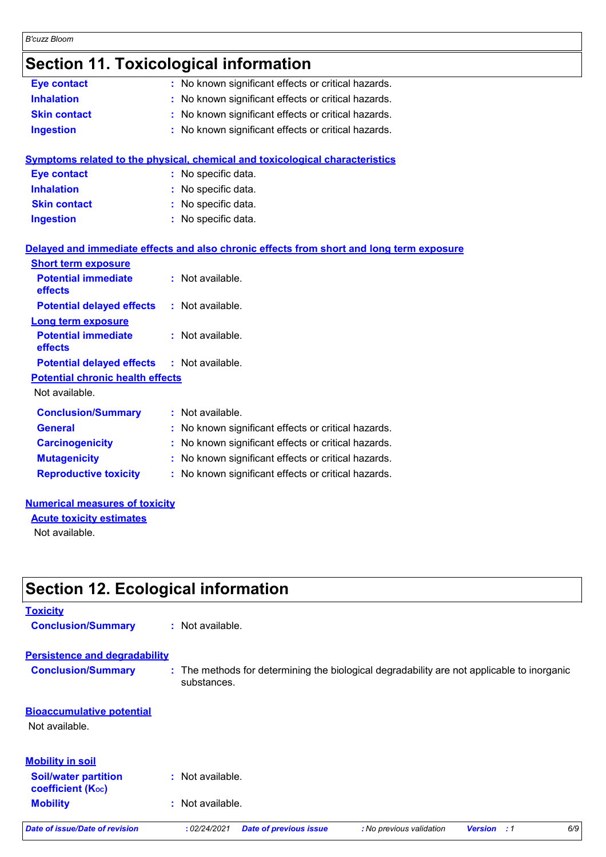### *B'cuzz Bloom*

## **Section 11. Toxicological information**

| <b>Eye contact</b>                      | : No known significant effects or critical hazards.                                      |  |
|-----------------------------------------|------------------------------------------------------------------------------------------|--|
| <b>Inhalation</b>                       | : No known significant effects or critical hazards.                                      |  |
| <b>Skin contact</b>                     | : No known significant effects or critical hazards.                                      |  |
| <b>Ingestion</b>                        | : No known significant effects or critical hazards.                                      |  |
|                                         |                                                                                          |  |
|                                         | Symptoms related to the physical, chemical and toxicological characteristics             |  |
| <b>Eye contact</b>                      | : No specific data.                                                                      |  |
| <b>Inhalation</b>                       | : No specific data.                                                                      |  |
| <b>Skin contact</b>                     | : No specific data.                                                                      |  |
| <b>Ingestion</b>                        | : No specific data.                                                                      |  |
|                                         |                                                                                          |  |
|                                         | Delayed and immediate effects and also chronic effects from short and long term exposure |  |
| <b>Short term exposure</b>              |                                                                                          |  |
| <b>Potential immediate</b><br>effects   | : Not available.                                                                         |  |
| <b>Potential delayed effects</b>        | : Not available.                                                                         |  |
| <b>Long term exposure</b>               |                                                                                          |  |
| <b>Potential immediate</b>              | : Not available.                                                                         |  |
| effects                                 |                                                                                          |  |
| <b>Potential delayed effects</b>        | : Not available.                                                                         |  |
| <b>Potential chronic health effects</b> |                                                                                          |  |
| Not available.                          |                                                                                          |  |
| <b>Conclusion/Summary</b>               | : Not available.                                                                         |  |
| <b>General</b>                          | : No known significant effects or critical hazards.                                      |  |
| <b>Carcinogenicity</b>                  | : No known significant effects or critical hazards.                                      |  |
| <b>Mutagenicity</b>                     | : No known significant effects or critical hazards.                                      |  |
| <b>Reproductive toxicity</b>            | : No known significant effects or critical hazards.                                      |  |
|                                         |                                                                                          |  |

#### **Numerical measures of toxicity**

**Acute toxicity estimates** Not available.

# **Section 12. Ecological information**

# **Toxicity Conclusion/Summary :** Not available.

# **Persistence and degradability**

**Conclusion/Summary :** The methods for determining the biological degradability are not applicable to inorganic substances.

### **Mobility :** Not available. **Bioaccumulative potential** Not available. **Soil/water partition coefficient (KOC) :** Not available. **Mobility in soil**

*Date of issue/Date of revision* **:** *02/24/2021 Date of previous issue : No previous validation Version : 1 6/9*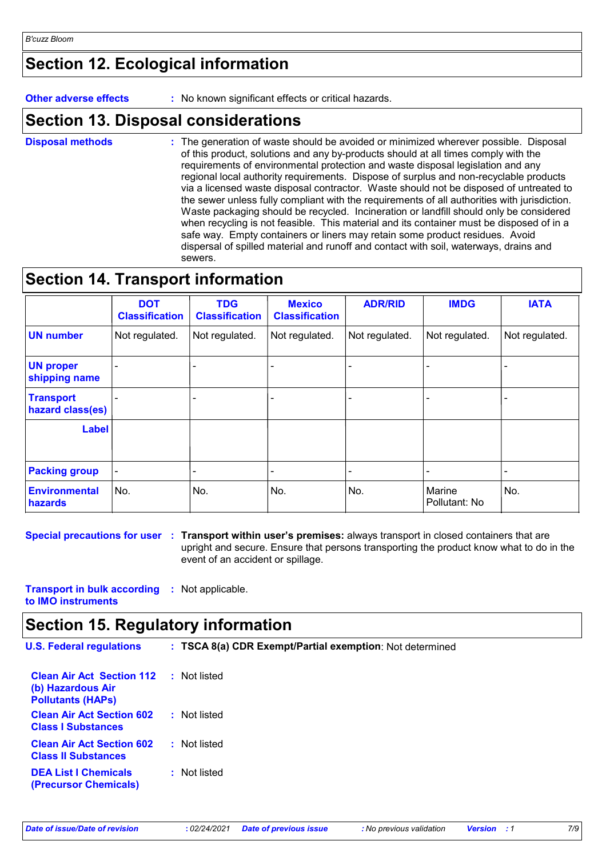## **Section 12. Ecological information**

**Other adverse effects** : No known significant effects or critical hazards.

## **Section 13. Disposal considerations**

The generation of waste should be avoided or minimized wherever possible. Disposal of this product, solutions and any by-products should at all times comply with the requirements of environmental protection and waste disposal legislation and any regional local authority requirements. Dispose of surplus and non-recyclable products via a licensed waste disposal contractor. Waste should not be disposed of untreated to the sewer unless fully compliant with the requirements of all authorities with jurisdiction. Waste packaging should be recycled. Incineration or landfill should only be considered when recycling is not feasible. This material and its container must be disposed of in a safe way. Empty containers or liners may retain some product residues. Avoid dispersal of spilled material and runoff and contact with soil, waterways, drains and sewers. **Disposal methods :**

## **Section 14. Transport information**

|                                      | <b>DOT</b><br><b>Classification</b> | <b>TDG</b><br><b>Classification</b> | <b>Mexico</b><br><b>Classification</b> | <b>ADR/RID</b> | <b>IMDG</b>             | <b>IATA</b>    |
|--------------------------------------|-------------------------------------|-------------------------------------|----------------------------------------|----------------|-------------------------|----------------|
| <b>UN number</b>                     | Not regulated.                      | Not regulated.                      | Not regulated.                         | Not regulated. | Not regulated.          | Not regulated. |
| <b>UN proper</b><br>shipping name    |                                     |                                     |                                        |                |                         |                |
| <b>Transport</b><br>hazard class(es) |                                     |                                     |                                        |                |                         |                |
| <b>Label</b>                         |                                     |                                     |                                        |                |                         |                |
| <b>Packing group</b>                 |                                     |                                     |                                        |                |                         |                |
| Environmental<br>hazards             | No.                                 | No.                                 | No.                                    | No.            | Marine<br>Pollutant: No | No.            |

**Special precautions for user Transport within user's premises:** always transport in closed containers that are **:** upright and secure. Ensure that persons transporting the product know what to do in the event of an accident or spillage.

**Transport in bulk according :** Not applicable. **to IMO instruments**

### **Section 15. Regulatory information**

| <b>U.S. Federal regulations</b>                                                   | : TSCA 8(a) CDR Exempt/Partial exemption: Not determined |  |  |
|-----------------------------------------------------------------------------------|----------------------------------------------------------|--|--|
| <b>Clean Air Act Section 112</b><br>(b) Hazardous Air<br><b>Pollutants (HAPS)</b> | : Not listed                                             |  |  |
| <b>Clean Air Act Section 602</b><br><b>Class I Substances</b>                     | : Not listed                                             |  |  |
| <b>Clean Air Act Section 602</b><br><b>Class II Substances</b>                    | : Not listed                                             |  |  |

**DEA List I Chemicals (Precursor Chemicals) :** Not listed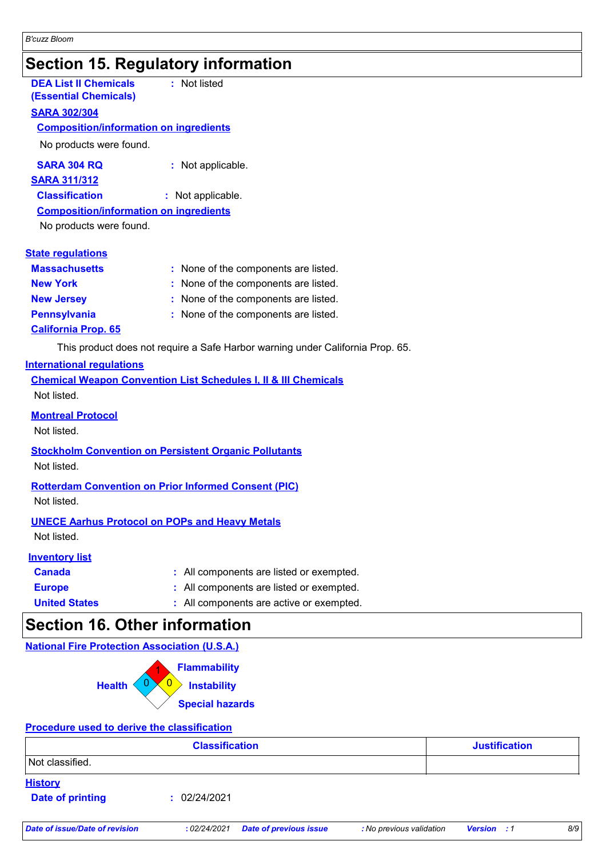## **Section 15. Regulatory information**

| <b>DEA List II Chemicals</b><br><b>(Essential Chemicals)</b> | : Not listed                         |
|--------------------------------------------------------------|--------------------------------------|
| <u>SARA 302/304</u>                                          |                                      |
| <b>Composition/information on ingredients</b>                |                                      |
| No products were found.                                      |                                      |
| <b>SARA 304 RQ</b>                                           | : Not applicable.                    |
| <b>SARA 311/312</b>                                          |                                      |
| <b>Classification</b>                                        | : Not applicable.                    |
| <b>Composition/information on ingredients</b>                |                                      |
| No products were found.                                      |                                      |
|                                                              |                                      |
| <b>State regulations</b>                                     |                                      |
| <b>Massachusetts</b>                                         | : None of the components are listed. |
| <b>New York</b>                                              | None of the components are listed.   |
| <b>New Jersey</b>                                            | : None of the components are listed. |
| <b>Pennsylvania</b>                                          | None of the components are listed.   |
| <b>California Prop. 65</b>                                   |                                      |

This product does not require a Safe Harbor warning under California Prop. 65.

### **International regulations**

| <b>Chemical Weapon Convention List Schedules I, II &amp; III Chemicals</b> |  |
|----------------------------------------------------------------------------|--|
| Not listed.                                                                |  |
| <b>Montreal Protocol</b>                                                   |  |

Not listed.

### **Stockholm Convention on Persistent Organic Pollutants**

Not listed.

### **Rotterdam Convention on Prior Informed Consent (PIC)**

Not listed.

### **UNECE Aarhus Protocol on POPs and Heavy Metals**

Not listed.

### **Inventory list**

- **Europe :** All components are listed or exempted. **Canada :** All components are listed or exempted.
	-
- **United States :** All components are active or exempted.

## **Section 16. Other information**

### **National Fire Protection Association (U.S.A.)**



### **Procedure used to derive the classification**

|                                           | <b>Classification</b> | <b>Justification</b> |
|-------------------------------------------|-----------------------|----------------------|
| Not classified.                           |                       |                      |
| <b>History</b><br><b>Date of printing</b> | 02/24/2021<br>п.      |                      |
|                                           |                       |                      |